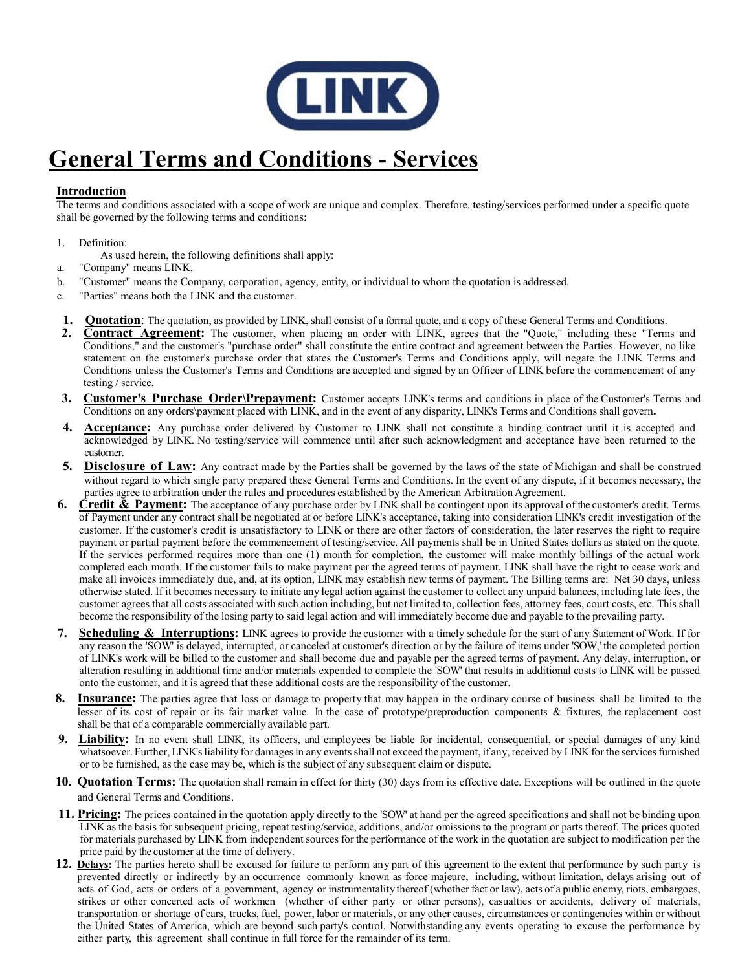

## **General Terms and Conditions - Services**

## **Introduction**

The terms and conditions associated with a scope of work are unique and complex. Therefore, testing/services performed under a specific quote shall be governed by the following terms and conditions:

- 1. Definition:
- As used herein, the following definitions shall apply:
- a. "Company" means LINK.
- b. "Customer" means the Company, corporation, agency, entity, or individual to whom the quotation is addressed.
- c. "Parties" means both the LINK and the customer.
- **1. Quotation**: The quotation, as provided by LINK, shall consist of a formal quote, and a copy of these General Terms and Conditions.
- **2. Contract Agreement:** The customer, when placing an order with LINK, agrees that the "Quote," including these "Terms and Conditions," and the customer's "purchase order" shall constitute the entire contract and agreement between the Parties. However, no like statement on the customer's purchase order that states the Customer's Terms and Conditions apply, will negate the LINK Terms and Conditions unless the Customer's Terms and Conditions are accepted and signed by an Officer of LINK before the commencement of any testing / service.
- **3. Customer's Purchase Order\Prepayment:** Customer accepts LINK's terms and conditions in place of the Customer's Terms and Conditions on any orders\payment placed with LINK, and in the event of any disparity, LINK's Terms and Conditions shall govern**.**
- **4. Acceptance:** Any purchase order delivered by Customer to LINK shall not constitute a binding contract until it is accepted and acknowledged by LINK. No testing/service will commence until after such acknowledgment and acceptance have been returned to the customer.
- **5. Disclosure of Law:** Any contract made by the Parties shall be governed by the laws of the state of Michigan and shall be construed without regard to which single party prepared these General Terms and Conditions. In the event of any dispute, if it becomes necessary, the parties agree to arbitration under the rules and procedures established by the American Arbitration Agreement.
- **6.** Credit & Payment: The acceptance of any purchase order by LINK shall be contingent upon its approval of the customer's credit. Terms of Payment under any contract shall be negotiated at or before LINK's acceptance, taking into consideration LINK's credit investigation of the customer. If the customer's credit is unsatisfactory to LINK or there are other factors of consideration, the later reserves the right to require payment or partial payment before the commencement of testing/service. All payments shall be in United States dollars as stated on the quote. If the services performed requires more than one (1) month for completion, the customer will make monthly billings of the actual work completed each month. If the customer fails to make payment per the agreed terms of payment, LINK shall have the right to cease work and make all invoices immediately due, and, at its option, LINK may establish new terms of payment. The Billing terms are: Net 30 days, unless otherwise stated. If it becomes necessary to initiate any legal action against the customer to collect any unpaid balances, including late fees, the customer agrees that all costs associated with such action including, but not limited to, collection fees, attorney fees, court costs, etc. This shall become the responsibility of the losing party to said legal action and will immediately become due and payable to the prevailing party.
- **7. Scheduling & Interruptions:** LINK agrees to provide the customer with a timely schedule for the start of any Statement of Work. If for any reason the 'SOW' is delayed, interrupted, or canceled at customer's direction or by the failure of items under 'SOW,' the completed portion of LINK's work will be billed to the customer and shall become due and payable per the agreed terms of payment. Any delay, interruption, or alteration resulting in additional time and/or materials expended to complete the 'SOW' that results in additional costs to LINK will be passed onto the customer, and it is agreed that these additional costs are the responsibility of the customer.
- **8. Insurance:** The parties agree that loss or damage to property that may happen in the ordinary course of business shall be limited to the lesser of its cost of repair or its fair market value. In the case of prototype/preproduction components & fixtures, the replacement cost shall be that of a comparable commercially available part.
- **9. Liability:** In no event shall LINK, its officers, and employees be liable for incidental, consequential, or special damages of any kind whatsoever. Further, LINK's liability for damages in any events shall not exceed the payment, if any, received by LINK for the services furnished or to be furnished, as the case may be, which is the subject of any subsequent claim or dispute.
- **10.** Quotation Terms: The quotation shall remain in effect for thirty (30) days from its effective date. Exceptions will be outlined in the quote and General Terms and Conditions.
- **11. Pricing:** The prices contained in the quotation apply directly to the 'SOW' at hand per the agreed specifications and shall not be binding upon LINK as the basis for subsequent pricing, repeat testing/service, additions, and/or omissions to the program or parts thereof. The prices quoted for materials purchased by LINK from independent sources for the performance of the work in the quotation are subject to modification per the price paid by the customer at the time of delivery.
- 12. Delays: The parties hereto shall be excused for failure to perform any part of this agreement to the extent that performance by such party is prevented directly or indirectly by an occurrence commonly known as force majeure, including, without limitation, delays arising out of acts of God, acts or orders of a government, agency or instrumentality thereof (whether fact or law), acts of a public enemy, riots, embargoes, strikes or other concerted acts of workmen (whether of either party or other persons), casualties or accidents, delivery of materials, transportation or shortage of cars, trucks, fuel, power, labor or materials, or any other causes, circumstances or contingencies within or without the United States of America, which are beyond such party's control. Notwithstanding any events operating to excuse the performance by either party, this agreement shall continue in full force for the remainder of its term.